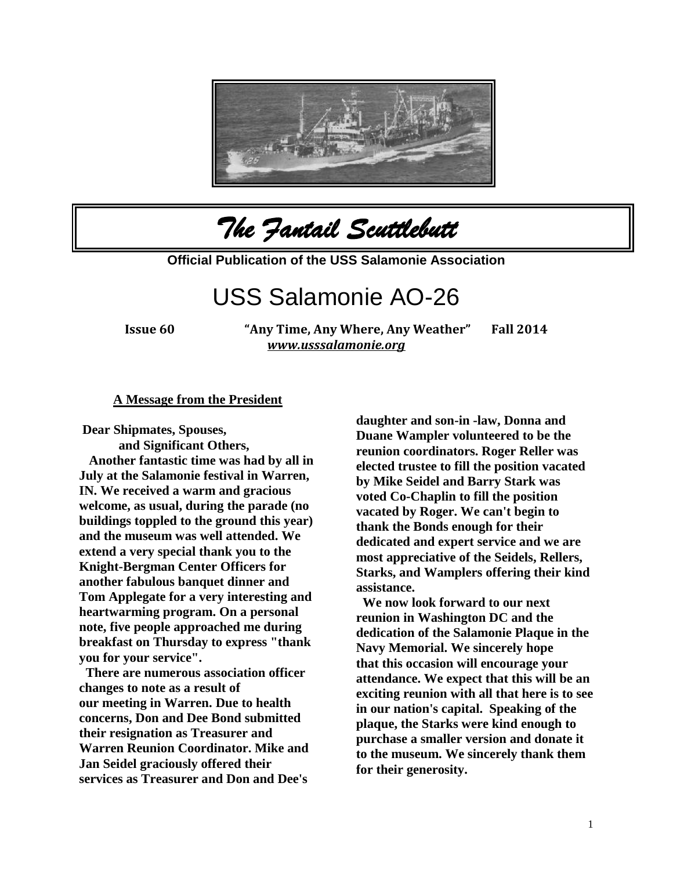

*The Fantail Scuttlebutt* 

**Official Publication of the USS Salamonie Association**

# USS Salamonie AO-26

**Issue 60 "Any Time, Any Where, Any Weather" Fall 2014**  *[www.usssalamonie.org](http://www.usssalamonie.org/)*

#### **A Message from the President**

**Dear Shipmates, Spouses,** 

**and Significant Others, Another fantastic time was had by all in July at the Salamonie festival in Warren, IN. We received a warm and gracious welcome, as usual, during the parade (no buildings toppled to the ground this year) and the museum was well attended. We extend a very special thank you to the Knight-Bergman Center Officers for another fabulous banquet dinner and Tom Applegate for a very interesting and heartwarming program. On a personal note, five people approached me during breakfast on Thursday to express "thank you for your service".**

**There are numerous association officer changes to note as a result of our meeting in Warren. Due to health concerns, Don and Dee Bond submitted their resignation as Treasurer and Warren Reunion Coordinator. Mike and Jan Seidel graciously offered their services as Treasurer and Don and Dee's** 

**daughter and son-in -law, Donna and Duane Wampler volunteered to be the reunion coordinators. Roger Reller was elected trustee to fill the position vacated by Mike Seidel and Barry Stark was voted Co-Chaplin to fill the position vacated by Roger. We can't begin to thank the Bonds enough for their dedicated and expert service and we are most appreciative of the Seidels, Rellers, Starks, and Wamplers offering their kind assistance.**

**We now look forward to our next reunion in Washington DC and the dedication of the Salamonie Plaque in the Navy Memorial. We sincerely hope that this occasion will encourage your attendance. We expect that this will be an exciting reunion with all that here is to see in our nation's capital. Speaking of the plaque, the Starks were kind enough to purchase a smaller version and donate it to the museum. We sincerely thank them for their generosity.**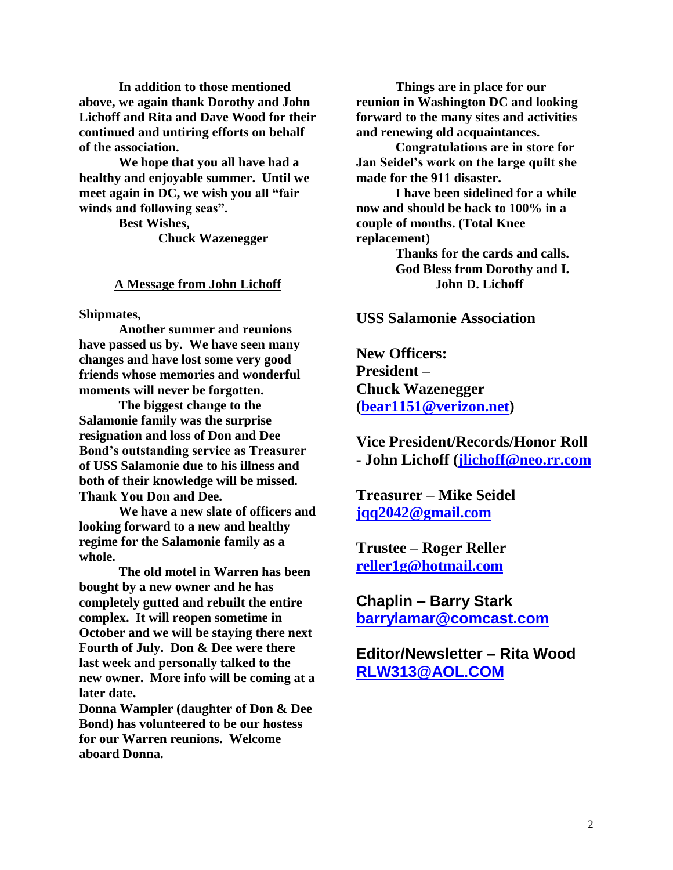**In addition to those mentioned above, we again thank Dorothy and John Lichoff and Rita and Dave Wood for their continued and untiring efforts on behalf of the association.**

**We hope that you all have had a healthy and enjoyable summer. Until we meet again in DC, we wish you all "fair winds and following seas".**

> **Best Wishes, Chuck Wazenegger**

#### **A Message from John Lichoff**

**Shipmates,**

**Another summer and reunions have passed us by. We have seen many changes and have lost some very good friends whose memories and wonderful moments will never be forgotten.**

**The biggest change to the Salamonie family was the surprise resignation and loss of Don and Dee Bond's outstanding service as Treasurer of USS Salamonie due to his illness and both of their knowledge will be missed. Thank You Don and Dee.**

**We have a new slate of officers and looking forward to a new and healthy regime for the Salamonie family as a whole.**

**The old motel in Warren has been bought by a new owner and he has completely gutted and rebuilt the entire complex. It will reopen sometime in October and we will be staying there next Fourth of July. Don & Dee were there last week and personally talked to the new owner. More info will be coming at a later date.**

**Donna Wampler (daughter of Don & Dee Bond) has volunteered to be our hostess for our Warren reunions. Welcome aboard Donna.**

**Things are in place for our reunion in Washington DC and looking forward to the many sites and activities and renewing old acquaintances.**

**Congratulations are in store for Jan Seidel's work on the large quilt she made for the 911 disaster.**

**I have been sidelined for a while now and should be back to 100% in a couple of months. (Total Knee replacement)** 

> **Thanks for the cards and calls. God Bless from Dorothy and I. John D. Lichoff**

#### **USS Salamonie Association**

**New Officers: President – Chuck Wazenegger [\(bear1151@verizon.net\)](mailto:bear1151@verizon.net)**

**Vice President/Records/Honor Roll - John Lichoff [\(jlichoff@neo.rr.com](mailto:jlichoff@neo.rr.com)**

**Treasurer – Mike Seidel [jqq2042@gmail.com](mailto:jqq2042@gmail.com)**

**Trustee – Roger Reller [reller1g@hotmail.com](mailto:reller1g@hotmail.com)**

**Chaplin – Barry Stark [barrylamar@comcast.com](mailto:barrylamar@comcast.com)**

**Editor/Newsletter – Rita Wood [RLW313@AOL.COM](mailto:RLW313@AOL.COM)**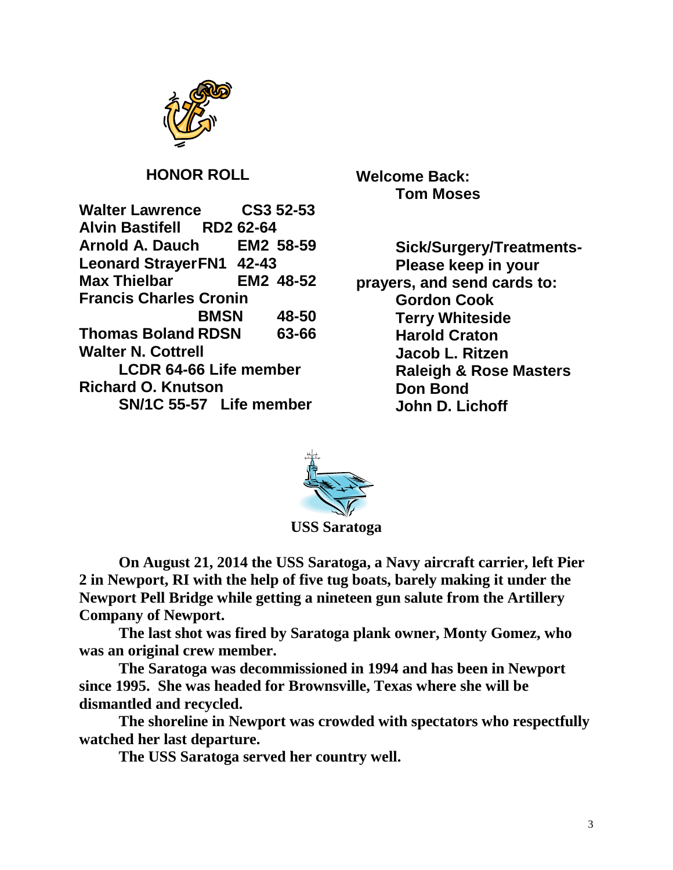

## **HONOR ROLL**

**Walter Lawrence CS3 52-53 Alvin Bastifell RD2 62-64 Arnold A. Dauch EM2 58-59 Leonard StrayerFN1 42-43 Max Thielbar EM2 48-52 Francis Charles Cronin BMSN 48-50 Thomas Boland RDSN 63-66 Walter N. Cottrell LCDR 64-66 Life member Richard O. Knutson SN/1C 55-57 Life member**

**Welcome Back: Tom Moses**

**Sick/Surgery/Treatments-Please keep in your prayers, and send cards to: Gordon Cook Terry Whiteside Harold Craton Jacob L. Ritzen Raleigh & Rose Masters Don Bond John D. Lichoff**



**USS Saratoga**

**On August 21, 2014 the USS Saratoga, a Navy aircraft carrier, left Pier 2 in Newport, RI with the help of five tug boats, barely making it under the Newport Pell Bridge while getting a nineteen gun salute from the Artillery Company of Newport.** 

**The last shot was fired by Saratoga plank owner, Monty Gomez, who was an original crew member.**

**The Saratoga was decommissioned in 1994 and has been in Newport since 1995. She was headed for Brownsville, Texas where she will be dismantled and recycled.**

**The shoreline in Newport was crowded with spectators who respectfully watched her last departure.** 

**The USS Saratoga served her country well.**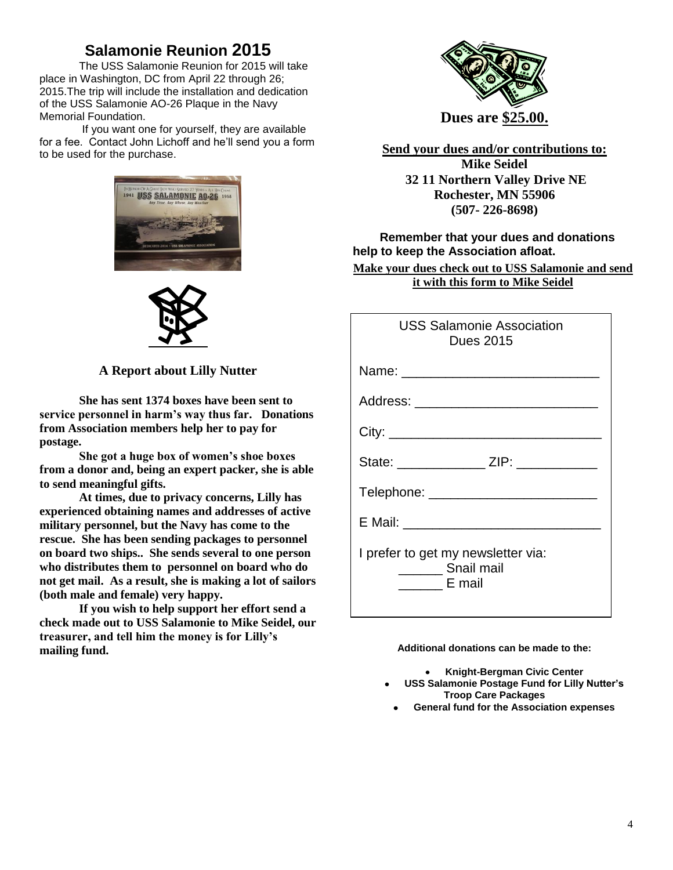# **Salamonie Reunion 2015**

The USS Salamonie Reunion for 2015 will take place in Washington, DC from April 22 through 26; 2015.The trip will include the installation and dedication of the USS Salamonie AO-26 Plaque in the Navy Memorial Foundation.

If you want one for yourself, they are available for a fee. Contact John Lichoff and he'll send you a form to be used for the purchase.



**A Report about Lilly Nutter**

**She has sent 1374 boxes have been sent to service personnel in harm's way thus far. Donations from Association members help her to pay for postage.**

**She got a huge box of women's shoe boxes from a donor and, being an expert packer, she is able to send meaningful gifts.**

**At times, due to privacy concerns, Lilly has experienced obtaining names and addresses of active military personnel, but the Navy has come to the rescue. She has been sending packages to personnel on board two ships.. She sends several to one person who distributes them to personnel on board who do not get mail. As a result, she is making a lot of sailors (both male and female) very happy.**

**If you wish to help support her effort send a check made out to USS Salamonie to Mike Seidel, our treasurer, and tell him the money is for Lilly's mailing fund.**



**Send your dues and/or contributions to: Mike Seidel 32 11 Northern Valley Drive NE Rochester, MN 55906 (507- 226-8698)**

#### **Remember that your dues and donations help to keep the Association afloat.**

**Make your dues check out to USS Salamonie and send it with this form to Mike Seidel**

| <b>USS Salamonie Association</b><br><b>Dues 2015</b>                              |
|-----------------------------------------------------------------------------------|
|                                                                                   |
|                                                                                   |
|                                                                                   |
| State: _________________ ZIP: ____________                                        |
| Telephone: _________________________                                              |
|                                                                                   |
| I prefer to get my newsletter via:<br>________ Snail mail<br>$\frac{1}{2}$ E mail |

**Additional donations can be made to the:**

**Knight-Bergman Civic Center**

- **USS Salamonie Postage Fund for Lilly Nutter's Troop Care Packages**
- **General fund for the Association expenses**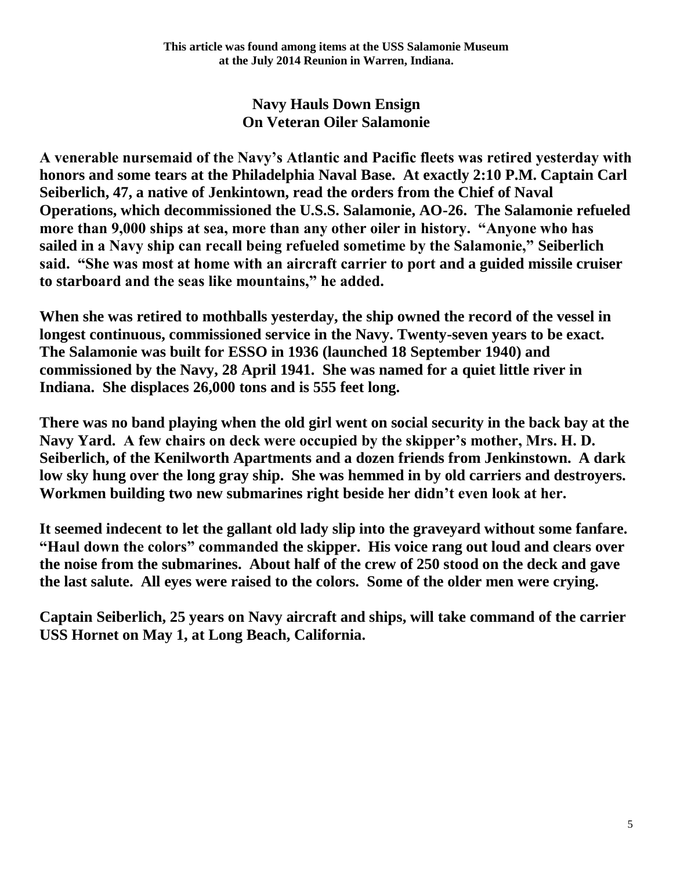## **Navy Hauls Down Ensign On Veteran Oiler Salamonie**

**A venerable nursemaid of the Navy's Atlantic and Pacific fleets was retired yesterday with honors and some tears at the Philadelphia Naval Base. At exactly 2:10 P.M. Captain Carl Seiberlich, 47, a native of Jenkintown, read the orders from the Chief of Naval Operations, which decommissioned the U.S.S. Salamonie, AO-26. The Salamonie refueled more than 9,000 ships at sea, more than any other oiler in history. "Anyone who has sailed in a Navy ship can recall being refueled sometime by the Salamonie," Seiberlich said. "She was most at home with an aircraft carrier to port and a guided missile cruiser to starboard and the seas like mountains," he added.**

**When she was retired to mothballs yesterday, the ship owned the record of the vessel in longest continuous, commissioned service in the Navy. Twenty-seven years to be exact. The Salamonie was built for ESSO in 1936 (launched 18 September 1940) and commissioned by the Navy, 28 April 1941. She was named for a quiet little river in Indiana. She displaces 26,000 tons and is 555 feet long.**

**There was no band playing when the old girl went on social security in the back bay at the Navy Yard. A few chairs on deck were occupied by the skipper's mother, Mrs. H. D. Seiberlich, of the Kenilworth Apartments and a dozen friends from Jenkinstown. A dark low sky hung over the long gray ship. She was hemmed in by old carriers and destroyers. Workmen building two new submarines right beside her didn't even look at her.**

**It seemed indecent to let the gallant old lady slip into the graveyard without some fanfare. "Haul down the colors" commanded the skipper. His voice rang out loud and clears over the noise from the submarines. About half of the crew of 250 stood on the deck and gave the last salute. All eyes were raised to the colors. Some of the older men were crying.**

**Captain Seiberlich, 25 years on Navy aircraft and ships, will take command of the carrier USS Hornet on May 1, at Long Beach, California.**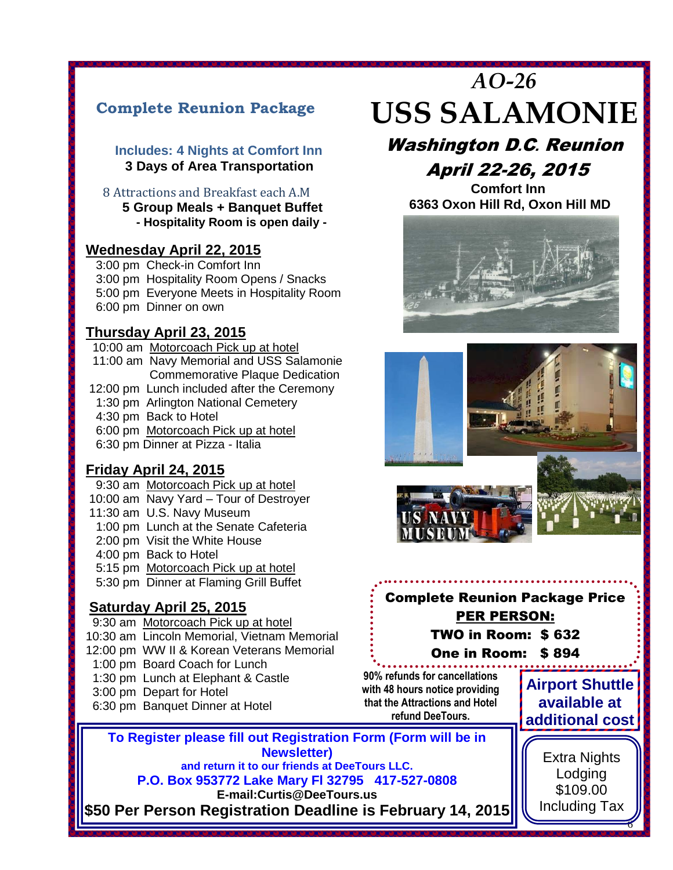# **Complete Reunion Package**

#### **Includes: 4 Nights at Comfort Inn 3 Days of Area Transportation**

 8 Attractions and Breakfast each A.M  **5 Group Meals + Banquet Buffet** 

 **- Hospitality Room is open daily -**

#### **Wednesday April 22, 2015**

 3:00 pm Check-in Comfort Inn 3:00 pm Hospitality Room Opens / Snacks 5:00 pm Everyone Meets in Hospitality Room 6:00 pm Dinner on own

#### **Thursday April 23, 2015**

12:00 pm Lunch included after the Ceremony<br>1:30 pm Arlington National Cemetery 10:00 am Motorcoach Pick up at hotel 11:00 am Navy Memorial and USS Salamonie Commemorative Plaque Dedication 1:30 pm Arlington National Cemetery 4:30 pm Back to Hotel 6:00 pm Motorcoach Pick up at hotel 6:30 pm Dinner at Pizza - Italia

### **Friday April 24, 2015**

9:30 am Motorcoach Pick up at hotel 10:00 am Navy Yard – Tour of Destroyer 11:30 am U.S. Navy Museum 1:00 pm Lunch at the Senate Cafeteria 2:00 pm Visit the White House 4:00 pm Back to Hotel 5:15 pm Motorcoach Pick up at hotel 5:30 pm Dinner at Flaming Grill Buffet

## **Saturday April 25, 2015**

- 9:30 am Motorcoach Pick up at hotel 10:30 am Lincoln Memorial, Vietnam Memorial 12:00 pm WW II & Korean Veterans Memorial 1:00 pm Board Coach for Lunch 1:30 pm Lunch at Elephant & Castle 3:00 pm Depart for Hotel
- 6:30 pm Banquet Dinner at Hotel

# *AO-26* **USS SALAMONIE**

# Washington D.C. Reunion April 22-26, 2015

 **Comfort Inn 6363 Oxon Hill Rd, Oxon Hill MD**





# Complete Reunion Package Price PER PERSON: TWO in Room: \$ 632 One in Room: \$ 894

**90% refunds for cancellations with 48 hours notice providing that the Attractions and Hotel refund DeeTours.**

**Airport Shuttle available at additional cost**

> Extra Nights Lodging \$109.00 Including Tax

> > 6

**To Register please fill** To Register please fill out Registration Form (Form will be in **Newsletter**) **Newsletter)** 

**and return it to our friends at DeeTours LLC. P.O. Box 953772 Lake Mary Fl 32795 417-527-0808**

**E-mail:Curtis@DeeTours.us** 

**\$50 Per Person Registration Deadline is February 14, 2015 – Balance Due March 15, 2015**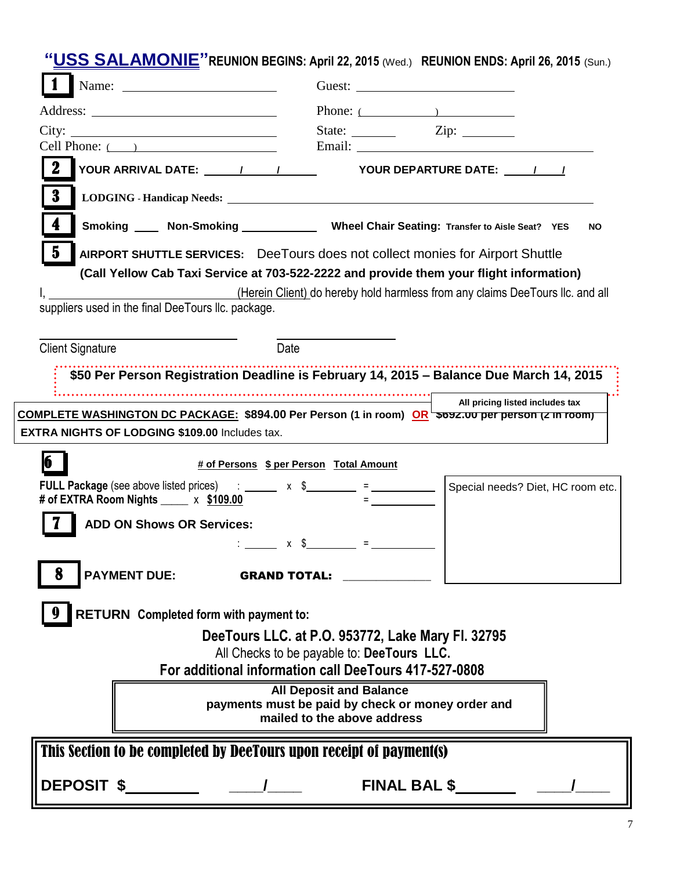**"USS SALAMONIE"REUNION BEGINS: April 22, 2015** (Wed.) **REUNION ENDS: April 26, 2015** (Sun.)

|                                                                                                                    | Phone: $($                                        |                                                                               |  |
|--------------------------------------------------------------------------------------------------------------------|---------------------------------------------------|-------------------------------------------------------------------------------|--|
| City:                                                                                                              |                                                   |                                                                               |  |
| Cell Phone: $($                                                                                                    |                                                   |                                                                               |  |
|                                                                                                                    |                                                   | YOUR DEPARTURE DATE: / /                                                      |  |
| 3                                                                                                                  |                                                   |                                                                               |  |
| 4<br>Smoking _____ Non-Smoking _______________ Wheel Chair Seating: Transfer to Aisle Seat? YES                    |                                                   | <b>NO</b>                                                                     |  |
| $\bf{5}$<br>AIRPORT SHUTTLE SERVICES: DeeTours does not collect monies for Airport Shuttle                         |                                                   |                                                                               |  |
| (Call Yellow Cab Taxi Service at 703-522-2222 and provide them your flight information)                            |                                                   |                                                                               |  |
|                                                                                                                    |                                                   | (Herein Client) do hereby hold harmless from any claims DeeTours IIc. and all |  |
| suppliers used in the final DeeTours Ilc. package.                                                                 |                                                   |                                                                               |  |
|                                                                                                                    |                                                   |                                                                               |  |
| Date<br><b>Client Signature</b>                                                                                    |                                                   |                                                                               |  |
| \$50 Per Person Registration Deadline is February 14, 2015 - Balance Due March 14, 2015                            |                                                   |                                                                               |  |
|                                                                                                                    | $\overline{\phantom{a}}$                          | All pricing listed includes tax                                               |  |
| COMPLETE WASHINGTON DC PACKAGE: \$894.00 Per Person (1 in room) OR 5092.00 per person (2 in room)                  |                                                   |                                                                               |  |
| EXTRA NIGHTS OF LODGING \$109.00 Includes tax.                                                                     |                                                   |                                                                               |  |
| # of Persons \$ per Person Total Amount                                                                            |                                                   |                                                                               |  |
| # of EXTRA Room Nights $\frac{\$109.00}{\$}$                                                                       |                                                   | Special needs? Diet, HC room etc.                                             |  |
| <b>ADD ON Shows OR Services:</b>                                                                                   |                                                   |                                                                               |  |
|                                                                                                                    | $\therefore$ x \$ = $\qquad$ =                    |                                                                               |  |
|                                                                                                                    |                                                   |                                                                               |  |
| <b>PAYMENT DUE:</b><br>ð<br><b>GRAND TOTAL:</b>                                                                    |                                                   |                                                                               |  |
| RETURN Completed form with payment to:                                                                             |                                                   |                                                                               |  |
|                                                                                                                    | DeeTours LLC. at P.O. 953772, Lake Mary Fl. 32795 |                                                                               |  |
|                                                                                                                    | All Checks to be payable to: DeeTours LLC.        |                                                                               |  |
| For additional information call DeeTours 417-527-0808                                                              |                                                   |                                                                               |  |
| <b>All Deposit and Balance</b><br>payments must be paid by check or money order and<br>mailed to the above address |                                                   |                                                                               |  |
| This Section to be completed by DeeTours upon receipt of payment(s)                                                |                                                   |                                                                               |  |
|                                                                                                                    | FINAL BAL \$                                      |                                                                               |  |
|                                                                                                                    |                                                   |                                                                               |  |